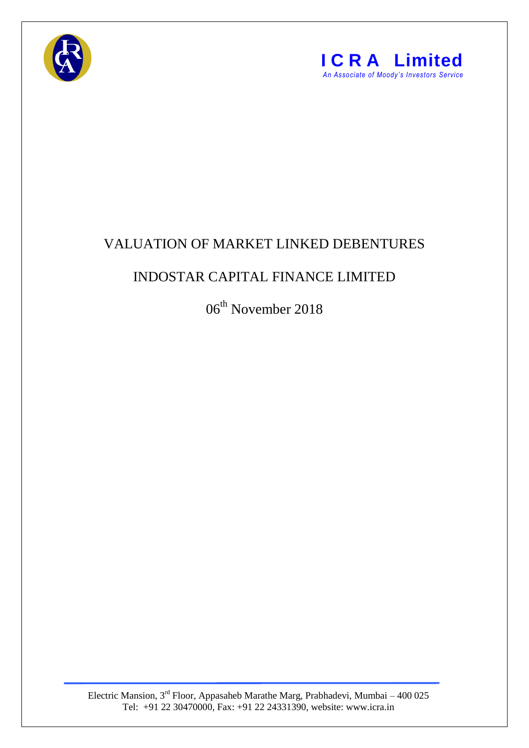



## VALUATION OF MARKET LINKED DEBENTURES

## INDOSTAR CAPITAL FINANCE LIMITED

06<sup>th</sup> November 2018